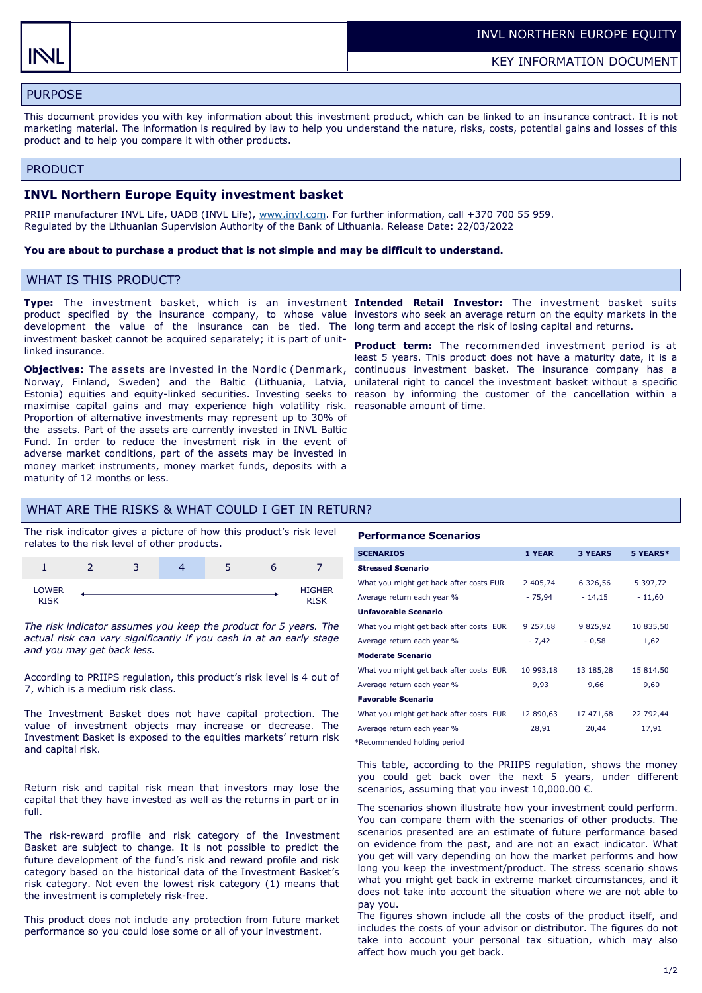# PURPOSE

This document provides you with key information about this investment product, which can be linked to an insurance contract. It is not marketing material. The information is required by law to help you understand the nature, risks, costs, potential gains and losses of this product and to help you compare it with other products.

## PRODUCT

## **INVL Northern Europe Equity investment basket**

PRIIP manufacturer INVL Life, UADB (INVL Life), [www.invl.com.](http://www.invl.com) For further information, call +370 700 55 959. Regulated by the Lithuanian Supervision Authority of the Bank of Lithuania. Release Date: 22/03/2022

#### **You are about to purchase a product that is not simple and may be difficult to understand.**

# WHAT IS THIS PRODUCT?

development the value of the insurance can be tied. The long term and accept the risk of losing capital and returns. investment basket cannot be acquired separately; it is part of unitlinked insurance.

**Objectives:** The assets are invested in the Nordic (Denmark, continuous investment basket. The insurance company has a Norway, Finland, Sweden) and the Baltic (Lithuania, Latvia, unilateral right to cancel the investment basket without a specific Estonia) equities and equity-linked securities. Investing seeks to reason by informing the customer of the cancellation within a maximise capital gains and may experience high volatility risk. reasonable amount of time. Proportion of alternative investments may represent up to 30% of the assets. Part of the assets are currently invested in INVL Baltic Fund. In order to reduce the investment risk in the event of adverse market conditions, part of the assets may be invested in money market instruments, money market funds, deposits with a maturity of 12 months or less.

**Type:** The investment basket, w hich is an investment **Intended Retail Investor:** The investment basket suits product specified by the insurance company, to whose value investors who seek an average return on the equity markets in the

> **Product term:** The recommended investment period is at least 5 years. This product does not have a maturity date, it is a

# WHAT ARE THE RISKS & WHAT COULD I GET IN RETURN?

The risk indicator gives a picture of how this product's risk level relates to the risk level of other products.

|                       | ╺ | ت | ٠ |               |
|-----------------------|---|---|---|---------------|
| <b>LOWER</b><br>DICIA |   |   |   | <b>HIGHER</b> |

*The risk indicator assumes you keep the product for 5 years. The actual risk can vary significantly if you cash in at an early stage and you may get back less.* 

According to PRIIPS regulation, this product's risk level is 4 out of 7, which is a medium risk class.

The Investment Basket does not have capital protection. The value of investment objects may increase or decrease. The Investment Basket is exposed to the equities markets' return risk and capital risk.

Return risk and capital risk mean that investors may lose the capital that they have invested as well as the returns in part or in full.

The risk-reward profile and risk category of the Investment Basket are subject to change. It is not possible to predict the future development of the fund's risk and reward profile and risk category based on the historical data of the Investment Basket's risk category. Not even the lowest risk category (1) means that the investment is completely risk-free.

This product does not include any protection from future market performance so you could lose some or all of your investment.

#### **Performance Scenarios**

| <b>SCENARIOS</b>                        | 1 YEAR    | <b>3 YEARS</b> | 5 YEARS*  |
|-----------------------------------------|-----------|----------------|-----------|
| <b>Stressed Scenario</b>                |           |                |           |
| What you might get back after costs EUR | 2 405,74  | 6 326,56       | 5 397,72  |
| Average return each year %              | $-75,94$  | $-14,15$       | $-11,60$  |
| <b>Unfavorable Scenario</b>             |           |                |           |
| What you might get back after costs EUR | 9 257,68  | 9 825,92       | 10 835,50 |
| Average return each year %              | $-7,42$   | $-0,58$        | 1,62      |
| <b>Moderate Scenario</b>                |           |                |           |
| What you might get back after costs EUR | 10 993,18 | 13 185,28      | 15 814,50 |
| Average return each year %              | 9,93      | 9,66           | 9,60      |
| <b>Favorable Scenario</b>               |           |                |           |
| What you might get back after costs EUR | 12 890,63 | 17 471,68      | 22 792,44 |
| Average return each year %              | 28,91     | 20,44          | 17,91     |

\*Recommended holding period

This table, according to the PRIIPS regulation, shows the money you could get back over the next 5 years, under different scenarios, assuming that you invest  $10,000.00 \in$ .

The scenarios shown illustrate how your investment could perform. You can compare them with the scenarios of other products. The scenarios presented are an estimate of future performance based on evidence from the past, and are not an exact indicator. What you get will vary depending on how the market performs and how long you keep the investment/product. The stress scenario shows what you might get back in extreme market circumstances, and it does not take into account the situation where we are not able to pay you.

The figures shown include all the costs of the product itself, and includes the costs of your advisor or distributor. The figures do not take into account your personal tax situation, which may also affect how much you get back.